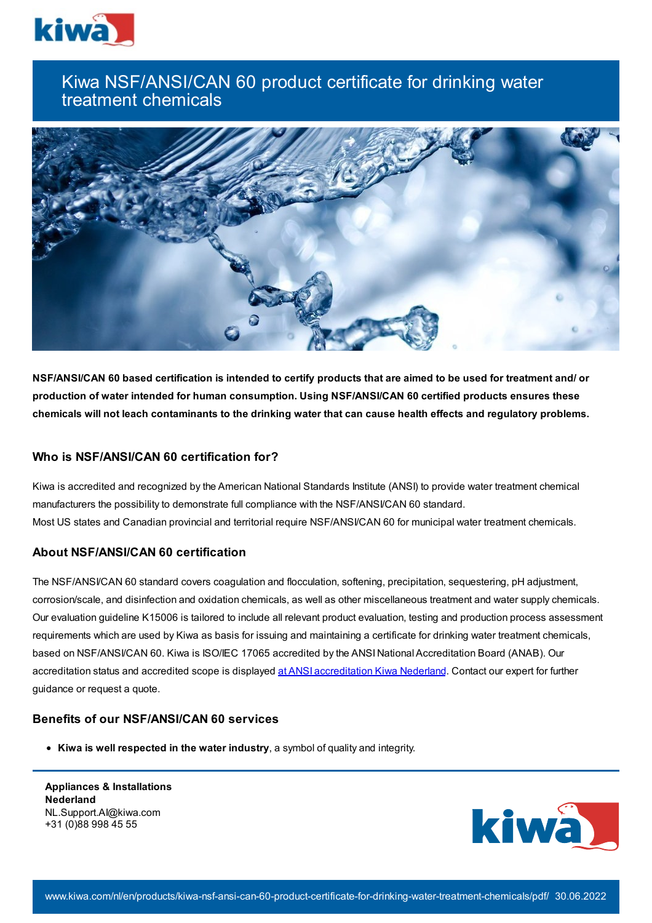

# Kiwa NSF/ANSI/CAN 60 product certificate for drinking water treatment chemicals



NSF/ANSI/CAN 60 based certification is intended to certify products that are aimed to be used for treatment and/ or **production of water intended for human consumption. Using NSF/ANSI/CAN 60 certified products ensures these** chemicals will not leach contaminants to the drinking water that can cause health effects and regulatory problems.

### **Who is NSF/ANSI/CAN 60 certification for?**

Kiwa is accredited and recognized by the American National Standards Institute (ANSI) to provide water treatment chemical manufacturers the possibility to demonstrate full compliance with the NSF/ANSI/CAN 60 standard. Most US states and Canadian provincial and territorial require NSF/ANSI/CAN 60 for municipal water treatment chemicals.

## **About NSF/ANSI/CAN 60 certification**

The NSF/ANSI/CAN 60 standard covers coagulation and flocculation, softening, precipitation, sequestering, pH adjustment, corrosion/scale, and disinfection and oxidation chemicals, as well as other miscellaneous treatment and water supply chemicals. Our evaluation guideline K15006 is tailored to include all relevant product evaluation, testing and production process assessment requirements which are used by Kiwa as basis for issuing and maintaining a certificate for drinking water treatment chemicals, based on NSF/ANSI/CAN 60. Kiwa is ISO/IEC 17065 accredited by the ANSI National Accreditation Board (ANAB). Our [accreditation](https://www.ansica.org/wwwversion2/outside/PROdirectoryDetailsAccredited.asp?menuID=1&prgID=1&orgID=2152) status and accredited scope is displayed at ANSI accreditation Kiwa Nederland. Contact our expert for further guidance or request a quote.

#### **Benefits of our NSF/ANSI/CAN 60 services**

**Kiwa is well respected in the water industry**, a symbol of quality and integrity.

**Appliances & Installations Nederland** NL.Support.AI@kiwa.com +31 (0)88 998 45 55